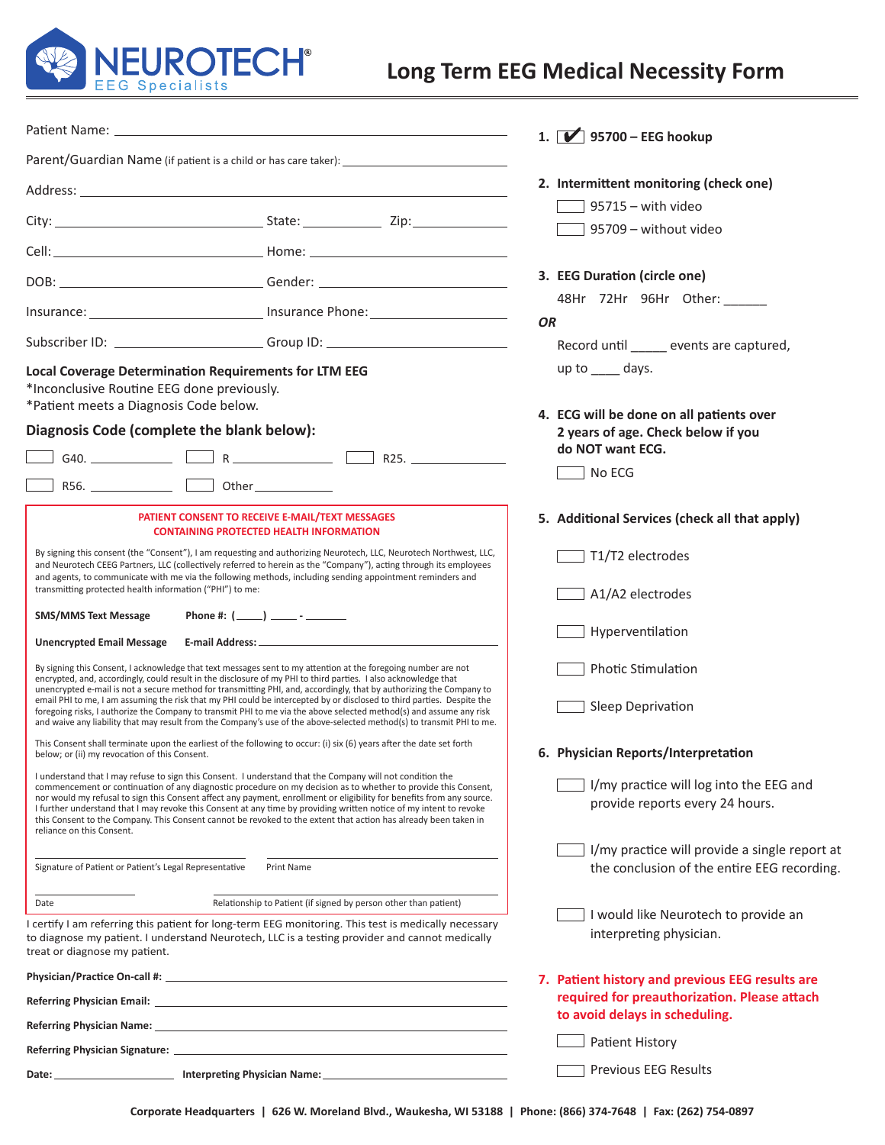

# **Long Term EEG Medical Necessity Form**

|                                                                                                                                                                                                                                                                                                                                                                                                                                                                                                                                                                                                                                                                                                                                     |                                                                                                                                                                                                                                                                            | 1. $\boxed{\blacktriangleright}$ 95700 – EEG hookup                                                |
|-------------------------------------------------------------------------------------------------------------------------------------------------------------------------------------------------------------------------------------------------------------------------------------------------------------------------------------------------------------------------------------------------------------------------------------------------------------------------------------------------------------------------------------------------------------------------------------------------------------------------------------------------------------------------------------------------------------------------------------|----------------------------------------------------------------------------------------------------------------------------------------------------------------------------------------------------------------------------------------------------------------------------|----------------------------------------------------------------------------------------------------|
|                                                                                                                                                                                                                                                                                                                                                                                                                                                                                                                                                                                                                                                                                                                                     |                                                                                                                                                                                                                                                                            |                                                                                                    |
|                                                                                                                                                                                                                                                                                                                                                                                                                                                                                                                                                                                                                                                                                                                                     |                                                                                                                                                                                                                                                                            | 2. Intermittent monitoring (check one)                                                             |
|                                                                                                                                                                                                                                                                                                                                                                                                                                                                                                                                                                                                                                                                                                                                     |                                                                                                                                                                                                                                                                            | $95715 -$ with video<br>95709 - without video                                                      |
|                                                                                                                                                                                                                                                                                                                                                                                                                                                                                                                                                                                                                                                                                                                                     |                                                                                                                                                                                                                                                                            |                                                                                                    |
|                                                                                                                                                                                                                                                                                                                                                                                                                                                                                                                                                                                                                                                                                                                                     |                                                                                                                                                                                                                                                                            | 3. EEG Duration (circle one)                                                                       |
|                                                                                                                                                                                                                                                                                                                                                                                                                                                                                                                                                                                                                                                                                                                                     | Insurance: ________________________________ Insurance Phone: ___________________                                                                                                                                                                                           | 48Hr 72Hr 96Hr Other: ______<br><b>OR</b>                                                          |
|                                                                                                                                                                                                                                                                                                                                                                                                                                                                                                                                                                                                                                                                                                                                     | Subscriber ID: ________________________Group ID: _______________________________                                                                                                                                                                                           | Record until ______ events are captured,                                                           |
| <b>Local Coverage Determination Requirements for LTM EEG</b><br>*Inconclusive Routine EEG done previously.<br>*Patient meets a Diagnosis Code below.                                                                                                                                                                                                                                                                                                                                                                                                                                                                                                                                                                                |                                                                                                                                                                                                                                                                            | up to $\_\_\_$ days.                                                                               |
| Diagnosis Code (complete the blank below):                                                                                                                                                                                                                                                                                                                                                                                                                                                                                                                                                                                                                                                                                          |                                                                                                                                                                                                                                                                            | 4. ECG will be done on all patients over<br>2 years of age. Check below if you<br>do NOT want ECG. |
| R56. Other Other Changes and Changes and Changes and Changes and Changes and Changes and Changes and Changes and Changes and Changes and Changes and Changes and Changes and Changes and Changes and Changes and Changes and C                                                                                                                                                                                                                                                                                                                                                                                                                                                                                                      |                                                                                                                                                                                                                                                                            | No ECG                                                                                             |
|                                                                                                                                                                                                                                                                                                                                                                                                                                                                                                                                                                                                                                                                                                                                     | PATIENT CONSENT TO RECEIVE E-MAIL/TEXT MESSAGES<br><b>CONTAINING PROTECTED HEALTH INFORMATION</b>                                                                                                                                                                          | 5. Additional Services (check all that apply)                                                      |
| By signing this consent (the "Consent"), I am requesting and authorizing Neurotech, LLC, Neurotech Northwest, LLC,<br>and Neurotech CEEG Partners, LLC (collectively referred to herein as the "Company"), acting through its employees<br>and agents, to communicate with me via the following methods, including sending appointment reminders and<br>transmitting protected health information ("PHI") to me:                                                                                                                                                                                                                                                                                                                    |                                                                                                                                                                                                                                                                            | T1/T2 electrodes                                                                                   |
|                                                                                                                                                                                                                                                                                                                                                                                                                                                                                                                                                                                                                                                                                                                                     |                                                                                                                                                                                                                                                                            | A1/A2 electrodes                                                                                   |
| <b>SMS/MMS Text Message</b><br><b>Unencrypted Email Message</b>                                                                                                                                                                                                                                                                                                                                                                                                                                                                                                                                                                                                                                                                     |                                                                                                                                                                                                                                                                            | Hyperventilation                                                                                   |
| By signing this Consent, I acknowledge that text messages sent to my attention at the foregoing number are not<br>encrypted, and, accordingly, could result in the disclosure of my PHI to third parties. I also acknowledge that<br>unencrypted e-mail is not a secure method for transmitting PHI, and, accordingly, that by authorizing the Company to<br>email PHI to me, I am assuming the risk that my PHI could be intercepted by or disclosed to third parties. Despite the<br>foregoing risks, I authorize the Company to transmit PHI to me via the above selected method(s) and assume any risk<br>and waive any liability that may result from the Company's use of the above-selected method(s) to transmit PHI to me. |                                                                                                                                                                                                                                                                            | <b>Photic Stimulation</b>                                                                          |
|                                                                                                                                                                                                                                                                                                                                                                                                                                                                                                                                                                                                                                                                                                                                     |                                                                                                                                                                                                                                                                            | Sleep Deprivation                                                                                  |
| This Consent shall terminate upon the earliest of the following to occur: (i) six (6) years after the date set forth<br>below; or (ii) my revocation of this Consent.                                                                                                                                                                                                                                                                                                                                                                                                                                                                                                                                                               |                                                                                                                                                                                                                                                                            | 6. Physician Reports/Interpretation                                                                |
| I understand that I may refuse to sign this Consent. I understand that the Company will not condition the<br>commencement or continuation of any diagnostic procedure on my decision as to whether to provide this Consent,<br>nor would my refusal to sign this Consent affect any payment, enrollment or eligibility for benefits from any source.<br>I further understand that I may revoke this Consent at any time by providing written notice of my intent to revoke<br>this Consent to the Company. This Consent cannot be revoked to the extent that action has already been taken in<br>reliance on this Consent.                                                                                                          |                                                                                                                                                                                                                                                                            | I/my practice will log into the EEG and<br>provide reports every 24 hours.                         |
| Signature of Patient or Patient's Legal Representative                                                                                                                                                                                                                                                                                                                                                                                                                                                                                                                                                                                                                                                                              | Print Name                                                                                                                                                                                                                                                                 | I/my practice will provide a single report at<br>the conclusion of the entire EEG recording.       |
| Date<br>treat or diagnose my patient.                                                                                                                                                                                                                                                                                                                                                                                                                                                                                                                                                                                                                                                                                               | Relationship to Patient (if signed by person other than patient)<br>I certify I am referring this patient for long-term EEG monitoring. This test is medically necessary<br>to diagnose my patient. I understand Neurotech, LLC is a testing provider and cannot medically | I would like Neurotech to provide an<br>interpreting physician.                                    |
|                                                                                                                                                                                                                                                                                                                                                                                                                                                                                                                                                                                                                                                                                                                                     |                                                                                                                                                                                                                                                                            | 7. Patient history and previous EEG results are                                                    |
|                                                                                                                                                                                                                                                                                                                                                                                                                                                                                                                                                                                                                                                                                                                                     |                                                                                                                                                                                                                                                                            | required for preauthorization. Please attach<br>to avoid delays in scheduling.                     |
|                                                                                                                                                                                                                                                                                                                                                                                                                                                                                                                                                                                                                                                                                                                                     |                                                                                                                                                                                                                                                                            | <b>Patient History</b>                                                                             |
|                                                                                                                                                                                                                                                                                                                                                                                                                                                                                                                                                                                                                                                                                                                                     |                                                                                                                                                                                                                                                                            |                                                                                                    |
|                                                                                                                                                                                                                                                                                                                                                                                                                                                                                                                                                                                                                                                                                                                                     | Date: _____________________________ Interpreting Physician Name: ___________________________________                                                                                                                                                                       | Previous EEG Results                                                                               |